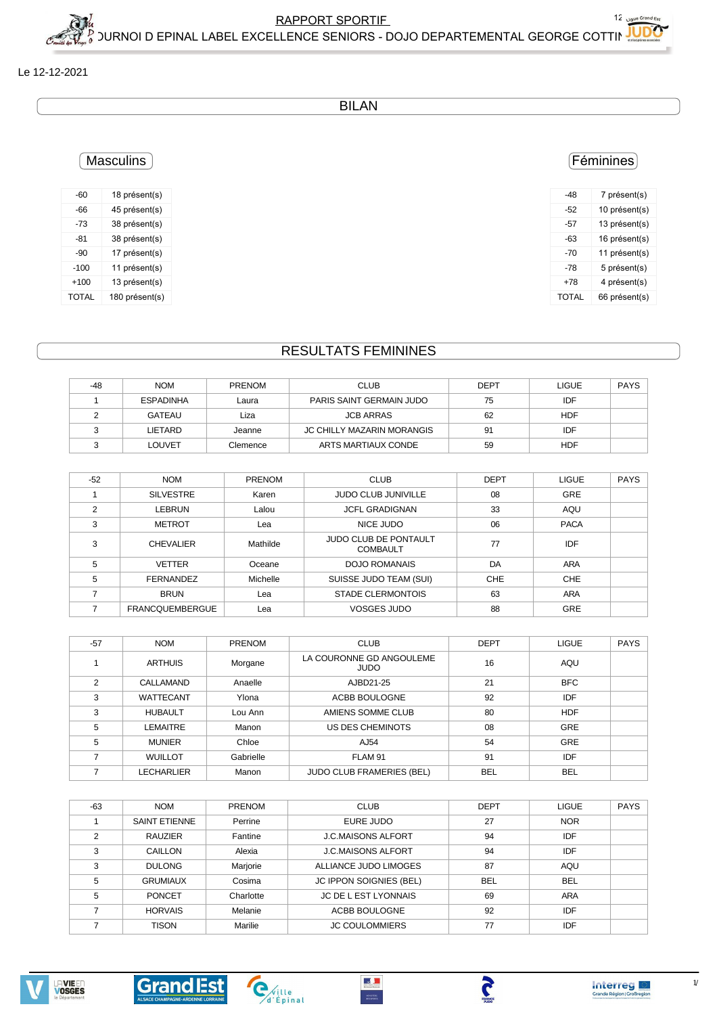**Interreg** 

## Le 12-12-2021

**BILAN** 

# **Masculins**

| $-60$  | 18 présent(s)  |
|--------|----------------|
| -66    | 45 présent(s)  |
| -73    | 38 présent(s)  |
| $-81$  | 38 présent(s)  |
| $-90$  | 17 présent(s)  |
| $-100$ | 11 présent(s)  |
| $+100$ | 13 présent(s)  |
| TOTAL  | 180 présent(s) |

#### **RESULTATS FEMININES**

| -48 | <b>NOM</b>       | <b>PRENOM</b> | <b>CLUB</b>                | <b>DEPT</b> | <b>LIGUE</b> | PAYS |
|-----|------------------|---------------|----------------------------|-------------|--------------|------|
|     | <b>ESPADINHA</b> | Laura         | PARIS SAINT GERMAIN JUDO   | 75          | IDF          |      |
|     | <b>GATEAU</b>    | Liza          | <b>JCB ARRAS</b>           | 62          | <b>HDF</b>   |      |
|     | LIETARD          | Jeanne        | JC CHILLY MAZARIN MORANGIS | 91          | IDF          |      |
|     | LOUVET           | Clemence      | ARTS MARTIAUX CONDE        | 59          | HDF          |      |

| $-52$          | <b>NOM</b>             | PRENOM   | <b>CLUB</b>                                     | <b>DEPT</b> | <b>LIGUE</b> | <b>PAYS</b> |
|----------------|------------------------|----------|-------------------------------------------------|-------------|--------------|-------------|
|                | <b>SILVESTRE</b>       | Karen    | <b>JUDO CLUB JUNIVILLE</b>                      | 08          | <b>GRE</b>   |             |
| $\overline{2}$ | <b>LEBRUN</b>          | Lalou    | <b>JCFL GRADIGNAN</b>                           | 33          | AQU          |             |
| 3              | <b>METROT</b>          | Lea      | NICE JUDO                                       | 06          | <b>PACA</b>  |             |
| 3              | <b>CHEVALIER</b>       | Mathilde | <b>JUDO CLUB DE PONTAULT</b><br><b>COMBAULT</b> | 77          | IDF          |             |
| 5              | <b>VETTER</b>          | Oceane   | DOJO ROMANAIS                                   | DA          | ARA          |             |
| 5              | <b>FERNANDEZ</b>       | Michelle | SUISSE JUDO TEAM (SUI)                          | CHE         | CHE          |             |
|                | <b>BRUN</b>            | Lea      | <b>STADE CLERMONTOIS</b>                        | 63          | <b>ARA</b>   |             |
|                | <b>FRANCQUEMBERGUE</b> | Lea      | <b>VOSGES JUDO</b>                              | 88          | <b>GRE</b>   |             |

| $-57$          | <b>NOM</b>       | <b>PRENOM</b> | <b>CLUB</b>                             | <b>DEPT</b> | <b>LIGUE</b> | <b>PAYS</b> |
|----------------|------------------|---------------|-----------------------------------------|-------------|--------------|-------------|
|                | <b>ARTHUIS</b>   | Morgane       | LA COURONNE GD ANGOULEME<br><b>JUDO</b> | 16          | AQU          |             |
| $\mathfrak{p}$ | CALLAMAND        | Anaelle       | AJBD21-25                               | 21          | <b>BFC</b>   |             |
| 3              | <b>WATTECANT</b> | Ylona         | ACBB BOULOGNE                           | 92          | IDF          |             |
| 3              | <b>HUBAULT</b>   | Lou Ann       | AMIENS SOMME CLUB                       | 80          | <b>HDF</b>   |             |
| 5              | LEMAITRE         | Manon         | US DES CHEMINOTS                        | 08          | <b>GRE</b>   |             |
| 5              | <b>MUNIER</b>    | Chloe         | AJ54                                    | 54          | <b>GRE</b>   |             |
|                | <b>WUILLOT</b>   | Gabrielle     | FLAM 91                                 | 91          | IDF          |             |
|                | LECHARLIER       | Manon         | <b>JUDO CLUB FRAMERIES (BEL)</b>        | <b>BEL</b>  | <b>BEL</b>   |             |

| $-63$ | <b>NOM</b>           | <b>PRENOM</b> | <b>CLUB</b>               | <b>DEPT</b> | <b>LIGUE</b> | <b>PAYS</b> |
|-------|----------------------|---------------|---------------------------|-------------|--------------|-------------|
|       | <b>SAINT ETIENNE</b> | Perrine       | EURE JUDO                 | 27          | <b>NOR</b>   |             |
|       | <b>RAUZIER</b>       | Fantine       | <b>J.C.MAISONS ALFORT</b> | 94          | IDF          |             |
| 3     | CAILLON              | Alexia        | <b>J.C.MAISONS ALFORT</b> | 94          | IDF          |             |
| 3     | <b>DULONG</b>        | Marjorie      | ALLIANCE JUDO LIMOGES     | 87          | AQU          |             |
| 5     | <b>GRUMIAUX</b>      | Cosima        | JC IPPON SOIGNIES (BEL)   | <b>BEL</b>  | <b>BEL</b>   |             |
| 5     | <b>PONCET</b>        | Charlotte     | JC DE L EST LYONNAIS      | 69          | ARA          |             |
|       | <b>HORVAIS</b>       | Melanie       | ACBB BOULOGNE             | 92          | IDF          |             |
|       | <b>TISON</b>         | Marilie       | <b>JC COULOMMIERS</b>     | 77          | <b>IDF</b>   |             |

 $\mathbb{R}^{\mathbb{Z}^{\times}}$ 

 $\frac{\text{messine}}{\text{messions}}$ 

**PRANCE** 













12 Ligue Grand Est

| -48          | 7 présent(s)  |
|--------------|---------------|
| -52          | 10 présent(s) |
| -57          | 13 présent(s) |
| -63          | 16 présent(s) |
| -70          | 11 présent(s) |
| -78          | 5 présent(s)  |
| +78          | 4 présent(s)  |
| <b>TOTAL</b> | 66 présent(s) |
|              |               |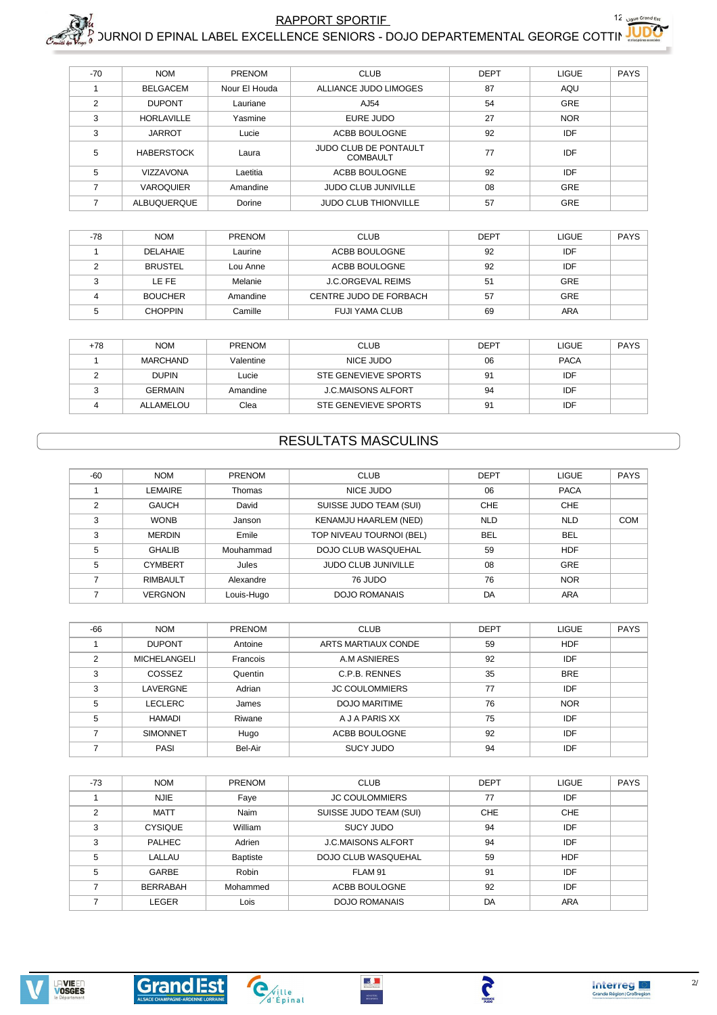$\mathsf{RAPPORT}$  SPORTIF  $12_{\text{blue} \text{ 12-2}}$ 

 $_6^\prime$  )URNOI D EPINAL LABEL EXCELLENCE SENIORS - DOJO DEPARTEMENTAL GEORGE COTTINING

| $-70$         | <b>NOM</b>        | PRENOM        | <b>CLUB</b>                                     | <b>DEPT</b> | <b>LIGUE</b> | <b>PAYS</b> |
|---------------|-------------------|---------------|-------------------------------------------------|-------------|--------------|-------------|
|               | <b>BELGACEM</b>   | Nour El Houda | ALLIANCE JUDO LIMOGES                           | 87          | AQU          |             |
| $\mathcal{P}$ | <b>DUPONT</b>     | Lauriane      | AJ54                                            | 54          | <b>GRE</b>   |             |
| 3             | <b>HORLAVILLE</b> | Yasmine       | EURE JUDO                                       | 27          | <b>NOR</b>   |             |
| 3             | <b>JARROT</b>     | Lucie         | ACBB BOULOGNE                                   | 92          | IDF          |             |
| 5             | <b>HABERSTOCK</b> | Laura         | <b>JUDO CLUB DE PONTAULT</b><br><b>COMBAULT</b> | 77          | IDF          |             |
| 5             | VIZZAVONA         | Laetitia      | ACBB BOULOGNE                                   | 92          | <b>IDF</b>   |             |
|               | <b>VAROQUIER</b>  | Amandine      | <b>JUDO CLUB JUNIVILLE</b>                      | 08          | <b>GRE</b>   |             |
|               | ALBUQUERQUE       | Dorine        | <b>JUDO CLUB THIONVILLE</b>                     | 57          | <b>GRE</b>   |             |

| -78 | <b>NOM</b>     | <b>PRENOM</b> | <b>CLUB</b>              | <b>DEPT</b> | <b>LIGUE</b> | <b>PAYS</b> |
|-----|----------------|---------------|--------------------------|-------------|--------------|-------------|
|     | DELAHAIE       | Laurine       | ACBB BOULOGNE            | 92          | IDF          |             |
|     | <b>BRUSTEL</b> | Lou Anne      | ACBB BOULOGNE            | 92          | IDF          |             |
|     | LE FE          | Melanie       | <b>J.C.ORGEVAL REIMS</b> | 51          | <b>GRE</b>   |             |
|     | <b>BOUCHER</b> | Amandine      | CENTRE JUDO DE FORBACH   | 57          | <b>GRE</b>   |             |
|     | <b>CHOPPIN</b> | Camille       | <b>FUJI YAMA CLUB</b>    | 69          | ARA          |             |

| +78 | <b>NOM</b>      | <b>PRENOM</b> | <b>CLUB</b>               | <b>DEPT</b> | <b>LIGUE</b> | <b>PAYS</b> |
|-----|-----------------|---------------|---------------------------|-------------|--------------|-------------|
|     | <b>MARCHAND</b> | Valentine     | NICE JUDO                 | 06          | <b>PACA</b>  |             |
|     | <b>DUPIN</b>    | Lucie         | STE GENEVIEVE SPORTS      | 91          | IDF          |             |
|     | <b>GERMAIN</b>  | Amandine      | <b>J.C.MAISONS ALFORT</b> | 94          | IDF          |             |
|     | ALLAMELOU       | Clea          | STE GENEVIEVE SPORTS      | 91          | IDF          |             |

### RESULTATS MASCULINS

| $-60$ | <b>NOM</b>      | <b>PRENOM</b> | <b>CLUB</b>                | <b>DEPT</b> | <b>LIGUE</b> | <b>PAYS</b> |
|-------|-----------------|---------------|----------------------------|-------------|--------------|-------------|
|       | <b>LEMAIRE</b>  | Thomas        | NICE JUDO                  | 06          | <b>PACA</b>  |             |
| 2     | <b>GAUCH</b>    | David         | SUISSE JUDO TEAM (SUI)     | <b>CHE</b>  | <b>CHE</b>   |             |
| 3     | <b>WONB</b>     | Janson        | KENAMJU HAARLEM (NED)      | <b>NLD</b>  | <b>NLD</b>   | <b>COM</b>  |
| 3     | <b>MERDIN</b>   | Emile         | TOP NIVEAU TOURNOI (BEL)   | <b>BEL</b>  | <b>BEL</b>   |             |
| 5     | <b>GHALIB</b>   | Mouhammad     | DOJO CLUB WASQUEHAL        | 59          | <b>HDF</b>   |             |
| 5     | <b>CYMBERT</b>  | Jules         | <b>JUDO CLUB JUNIVILLE</b> | 08          | <b>GRE</b>   |             |
|       | <b>RIMBAULT</b> | Alexandre     | 76 JUDO                    | 76          | <b>NOR</b>   |             |
|       | <b>VERGNON</b>  | Louis-Hugo    | <b>DOJO ROMANAIS</b>       | DA          | <b>ARA</b>   |             |

| $-66$ | <b>NOM</b>          | <b>PRENOM</b> | <b>CLUB</b>           | <b>DEPT</b> | <b>LIGUE</b> | <b>PAYS</b> |
|-------|---------------------|---------------|-----------------------|-------------|--------------|-------------|
|       | <b>DUPONT</b>       | Antoine       | ARTS MARTIAUX CONDE   | 59          | <b>HDF</b>   |             |
|       | <b>MICHELANGELI</b> | Francois      | A.M ASNIERES          | 92          | IDF          |             |
|       | COSSEZ              | Quentin       | C.P.B. RENNES         | 35          | <b>BRE</b>   |             |
| 3     | LAVERGNE            | Adrian        | <b>JC COULOMMIERS</b> | 77          | IDF          |             |
| 5     | <b>LECLERC</b>      | James         | DOJO MARITIME         | 76          | <b>NOR</b>   |             |
| 5     | HAMADI              | Riwane        | A J A PARIS XX        | 75          | IDF          |             |
|       | <b>SIMONNET</b>     | Hugo          | ACBB BOULOGNE         | 92          | IDF          |             |
|       | PASI                | Bel-Air       | <b>SUCY JUDO</b>      | 94          | IDF          |             |

| $-73$          | <b>NOM</b>      | PRENOM   | <b>CLUB</b>                | <b>DEPT</b> | <b>LIGUE</b> | <b>PAYS</b> |
|----------------|-----------------|----------|----------------------------|-------------|--------------|-------------|
|                | <b>NJIE</b>     | Faye     | <b>JC COULOMMIERS</b>      | 77          | IDF          |             |
| $\overline{2}$ | <b>MATT</b>     | Naim     | SUISSE JUDO TEAM (SUI)     | <b>CHE</b>  | <b>CHE</b>   |             |
| 3              | <b>CYSIQUE</b>  | William  | SUCY JUDO                  | 94          | IDF          |             |
| 3              | <b>PALHEC</b>   | Adrien   | <b>J.C.MAISONS ALFORT</b>  | 94          | IDF          |             |
| 5              | LALLAU          | Baptiste | <b>DOJO CLUB WASQUEHAL</b> | 59          | <b>HDF</b>   |             |
| 5              | <b>GARBE</b>    | Robin    | FLAM 91                    | 91          | <b>IDF</b>   |             |
|                | <b>BERRABAH</b> | Mohammed | ACBB BOULOGNE              | 92          | IDF          |             |
|                | <b>LEGER</b>    | Lois     | <b>DOJO ROMANAIS</b>       | DA          | <b>ARA</b>   |             |







**PANCE** 

 $\frac{1}{2}$ 

 $\begin{array}{c} \text{MNSITIL} \\ \text{DNS POMIS} \end{array}$